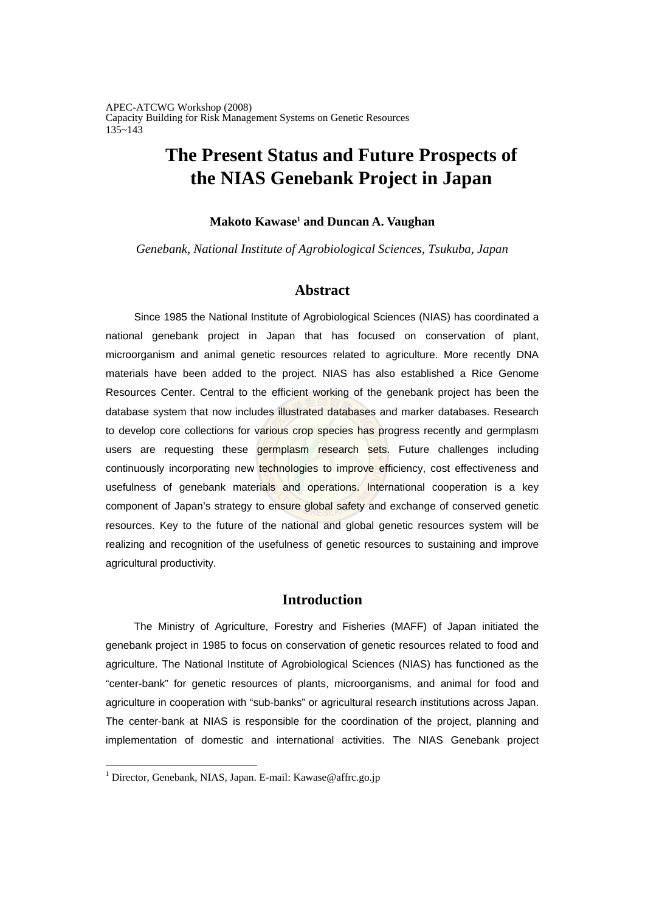# **The Present Status and Future Prospects of the NIAS Genebank Project in Japan**

### **Makoto Kawase<sup>1</sup> and Duncan A. Vaughan**

*Genebank, National Institute of Agrobiological Sciences, Tsukuba, Japan* 

### **Abstract**

Since 1985 the National Institute of Agrobiological Sciences (NIAS) has coordinated a national genebank project in Japan that has focused on conservation of plant, microorganism and animal genetic resources related to agriculture. More recently DNA materials have been added to the project. NIAS has also established a Rice Genome Resources Center. Central to the efficient working of the genebank project has been the database system that now includes illustrated databases and marker databases. Research to develop core collections for various crop species has progress recently and germplasm users are requesting these germplasm research sets. Future challenges including continuously incorporating new technologies to improve efficiency, cost effectiveness and usefulness of genebank materials and operations. International cooperation is a key component of Japan's strategy to ensure global safety and exchange of conserved genetic resources. Key to the future of the national and global genetic resources system will be realizing and recognition of the usefulness of genetic resources to sustaining and improve agricultural productivity.

### **Introduction**

The Ministry of Agriculture, Forestry and Fisheries (MAFF) of Japan initiated the genebank project in 1985 to focus on conservation of genetic resources related to food and agriculture. The National Institute of Agrobiological Sciences (NIAS) has functioned as the "center-bank" for genetic resources of plants, microorganisms, and animal for food and agriculture in cooperation with "sub-banks" or agricultural research institutions across Japan. The center-bank at NIAS is responsible for the coordination of the project, planning and implementation of domestic and international activities. The NIAS Genebank project

<sup>&</sup>lt;sup>1</sup> Director, Genebank, NIAS, Japan. E-mail: Kawase@affrc.go.jp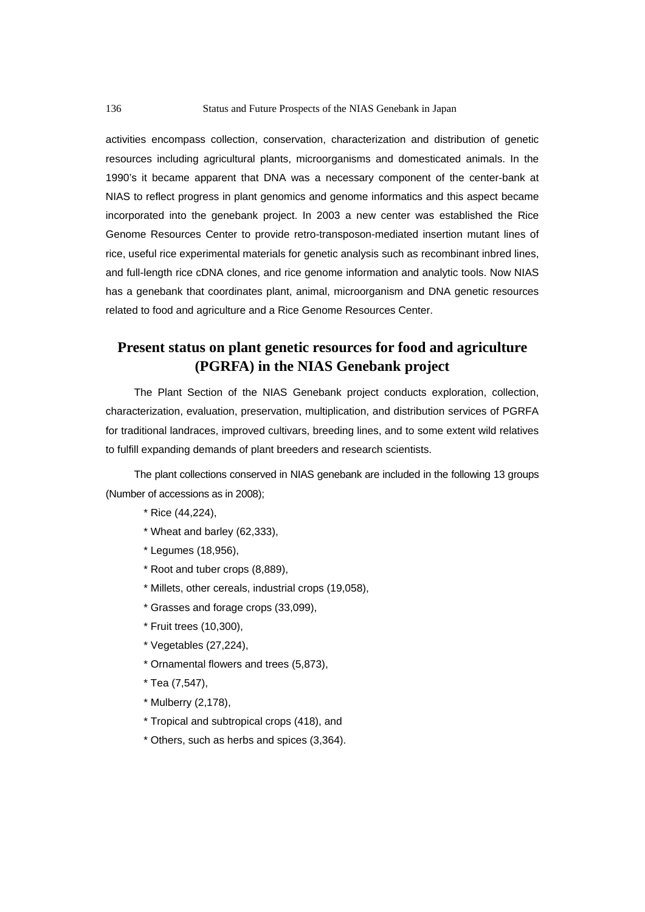activities encompass collection, conservation, characterization and distribution of genetic resources including agricultural plants, microorganisms and domesticated animals. In the 1990's it became apparent that DNA was a necessary component of the center-bank at NIAS to reflect progress in plant genomics and genome informatics and this aspect became incorporated into the genebank project. In 2003 a new center was established the Rice Genome Resources Center to provide retro-transposon-mediated insertion mutant lines of rice, useful rice experimental materials for genetic analysis such as recombinant inbred lines, and full-length rice cDNA clones, and rice genome information and analytic tools. Now NIAS has a genebank that coordinates plant, animal, microorganism and DNA genetic resources related to food and agriculture and a Rice Genome Resources Center.

## **Present status on plant genetic resources for food and agriculture (PGRFA) in the NIAS Genebank project**

The Plant Section of the NIAS Genebank project conducts exploration, collection, characterization, evaluation, preservation, multiplication, and distribution services of PGRFA for traditional landraces, improved cultivars, breeding lines, and to some extent wild relatives to fulfill expanding demands of plant breeders and research scientists.

The plant collections conserved in NIAS genebank are included in the following 13 groups (Number of accessions as in 2008);

- \* Rice (44,224),
- \* Wheat and barley (62,333),
- \* Legumes (18,956),
- \* Root and tuber crops (8,889),
- \* Millets, other cereals, industrial crops (19,058),
- \* Grasses and forage crops (33,099),
- \* Fruit trees (10,300),
- \* Vegetables (27,224),
- \* Ornamental flowers and trees (5,873),
- \* Tea (7,547),
- \* Mulberry (2,178),
- \* Tropical and subtropical crops (418), and
- \* Others, such as herbs and spices (3,364).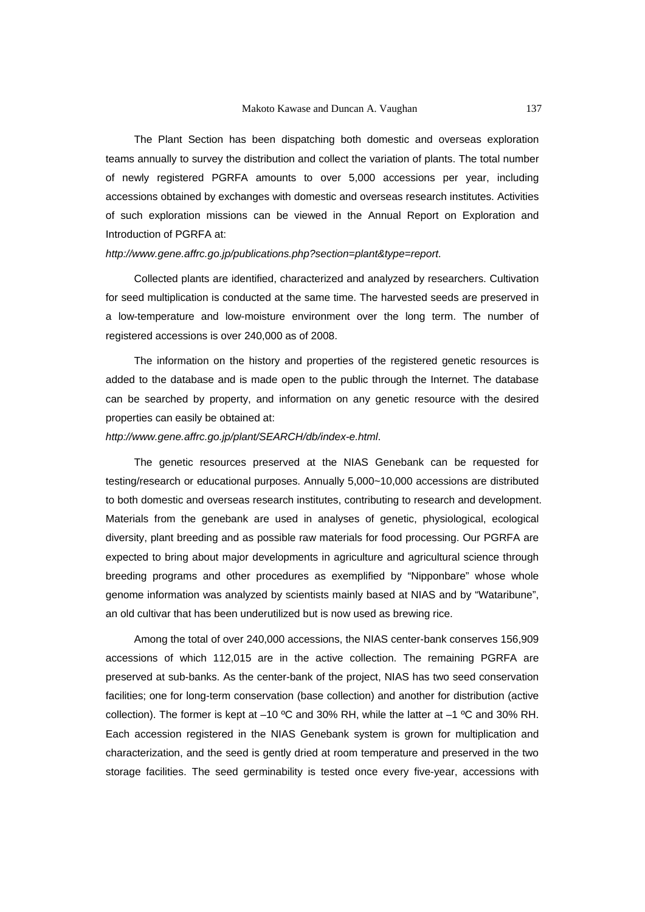The Plant Section has been dispatching both domestic and overseas exploration teams annually to survey the distribution and collect the variation of plants. The total number of newly registered PGRFA amounts to over 5,000 accessions per year, including accessions obtained by exchanges with domestic and overseas research institutes. Activities of such exploration missions can be viewed in the Annual Report on Exploration and Introduction of PGRFA at:

#### *http://www.gene.affrc.go.jp/publications.php?section=plant&type=report*.

Collected plants are identified, characterized and analyzed by researchers. Cultivation for seed multiplication is conducted at the same time. The harvested seeds are preserved in a low-temperature and low-moisture environment over the long term. The number of registered accessions is over 240,000 as of 2008.

The information on the history and properties of the registered genetic resources is added to the database and is made open to the public through the Internet. The database can be searched by property, and information on any genetic resource with the desired properties can easily be obtained at:

#### *http://www.gene.affrc.go.jp/plant/SEARCH/db/index-e.html*.

The genetic resources preserved at the NIAS Genebank can be requested for testing/research or educational purposes. Annually 5,000~10,000 accessions are distributed to both domestic and overseas research institutes, contributing to research and development. Materials from the genebank are used in analyses of genetic, physiological, ecological diversity, plant breeding and as possible raw materials for food processing. Our PGRFA are expected to bring about major developments in agriculture and agricultural science through breeding programs and other procedures as exemplified by "Nipponbare" whose whole genome information was analyzed by scientists mainly based at NIAS and by "Wataribune", an old cultivar that has been underutilized but is now used as brewing rice.

Among the total of over 240,000 accessions, the NIAS center-bank conserves 156,909 accessions of which 112,015 are in the active collection. The remaining PGRFA are preserved at sub-banks. As the center-bank of the project, NIAS has two seed conservation facilities; one for long-term conservation (base collection) and another for distribution (active collection). The former is kept at –10 ºC and 30% RH, while the latter at –1 ºC and 30% RH. Each accession registered in the NIAS Genebank system is grown for multiplication and characterization, and the seed is gently dried at room temperature and preserved in the two storage facilities. The seed germinability is tested once every five-year, accessions with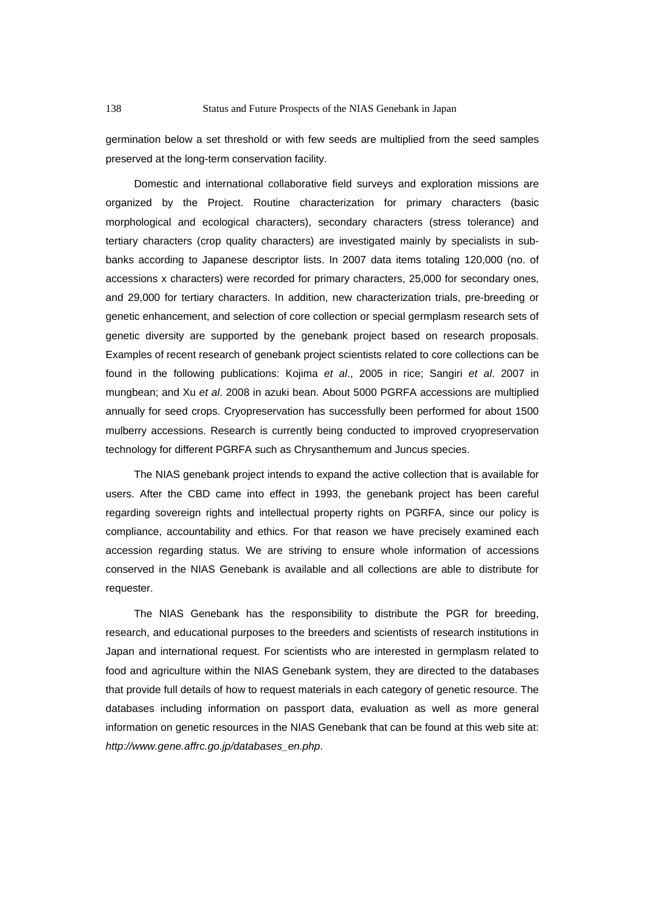germination below a set threshold or with few seeds are multiplied from the seed samples preserved at the long-term conservation facility.

Domestic and international collaborative field surveys and exploration missions are organized by the Project. Routine characterization for primary characters (basic morphological and ecological characters), secondary characters (stress tolerance) and tertiary characters (crop quality characters) are investigated mainly by specialists in subbanks according to Japanese descriptor lists. In 2007 data items totaling 120,000 (no. of accessions x characters) were recorded for primary characters, 25,000 for secondary ones, and 29,000 for tertiary characters. In addition, new characterization trials, pre-breeding or genetic enhancement, and selection of core collection or special germplasm research sets of genetic diversity are supported by the genebank project based on research proposals. Examples of recent research of genebank project scientists related to core collections can be found in the following publications: Kojima *et al*., 2005 in rice; Sangiri *et al*. 2007 in mungbean; and Xu *et al*. 2008 in azuki bean. About 5000 PGRFA accessions are multiplied annually for seed crops. Cryopreservation has successfully been performed for about 1500 mulberry accessions. Research is currently being conducted to improved cryopreservation technology for different PGRFA such as Chrysanthemum and Juncus species.

The NIAS genebank project intends to expand the active collection that is available for users. After the CBD came into effect in 1993, the genebank project has been careful regarding sovereign rights and intellectual property rights on PGRFA, since our policy is compliance, accountability and ethics. For that reason we have precisely examined each accession regarding status. We are striving to ensure whole information of accessions conserved in the NIAS Genebank is available and all collections are able to distribute for requester.

The NIAS Genebank has the responsibility to distribute the PGR for breeding, research, and educational purposes to the breeders and scientists of research institutions in Japan and international request. For scientists who are interested in germplasm related to food and agriculture within the NIAS Genebank system, they are directed to the databases that provide full details of how to request materials in each category of genetic resource. The databases including information on passport data, evaluation as well as more general information on genetic resources in the NIAS Genebank that can be found at this web site at: *http://www.gene.affrc.go.jp/databases\_en.php*.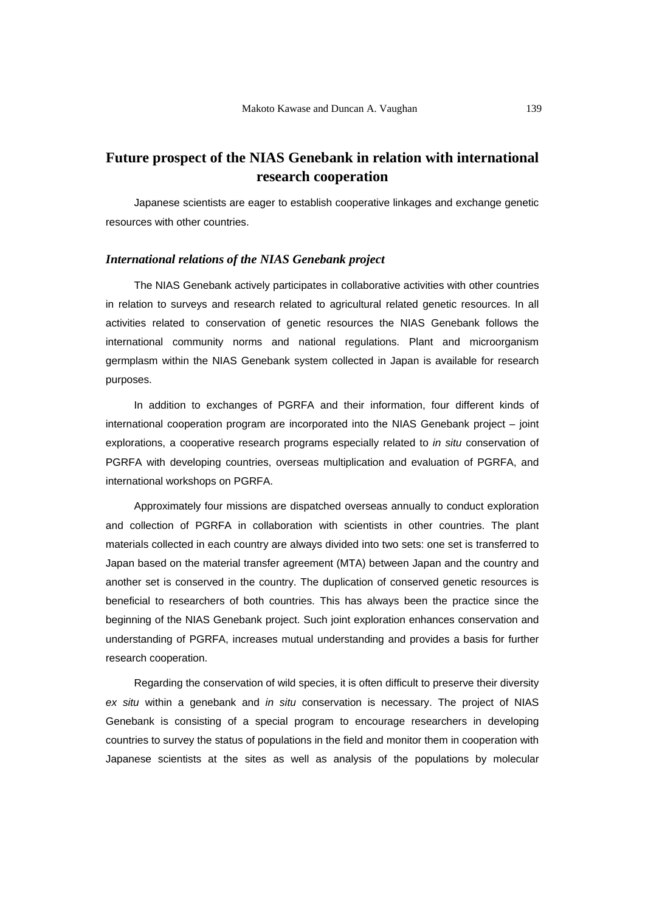# **Future prospect of the NIAS Genebank in relation with international research cooperation**

Japanese scientists are eager to establish cooperative linkages and exchange genetic resources with other countries.

### *International relations of the NIAS Genebank project*

The NIAS Genebank actively participates in collaborative activities with other countries in relation to surveys and research related to agricultural related genetic resources. In all activities related to conservation of genetic resources the NIAS Genebank follows the international community norms and national regulations. Plant and microorganism germplasm within the NIAS Genebank system collected in Japan is available for research purposes.

In addition to exchanges of PGRFA and their information, four different kinds of international cooperation program are incorporated into the NIAS Genebank project – joint explorations, a cooperative research programs especially related to *in situ* conservation of PGRFA with developing countries, overseas multiplication and evaluation of PGRFA, and international workshops on PGRFA.

Approximately four missions are dispatched overseas annually to conduct exploration and collection of PGRFA in collaboration with scientists in other countries. The plant materials collected in each country are always divided into two sets: one set is transferred to Japan based on the material transfer agreement (MTA) between Japan and the country and another set is conserved in the country. The duplication of conserved genetic resources is beneficial to researchers of both countries. This has always been the practice since the beginning of the NIAS Genebank project. Such joint exploration enhances conservation and understanding of PGRFA, increases mutual understanding and provides a basis for further research cooperation.

Regarding the conservation of wild species, it is often difficult to preserve their diversity *ex situ* within a genebank and *in situ* conservation is necessary. The project of NIAS Genebank is consisting of a special program to encourage researchers in developing countries to survey the status of populations in the field and monitor them in cooperation with Japanese scientists at the sites as well as analysis of the populations by molecular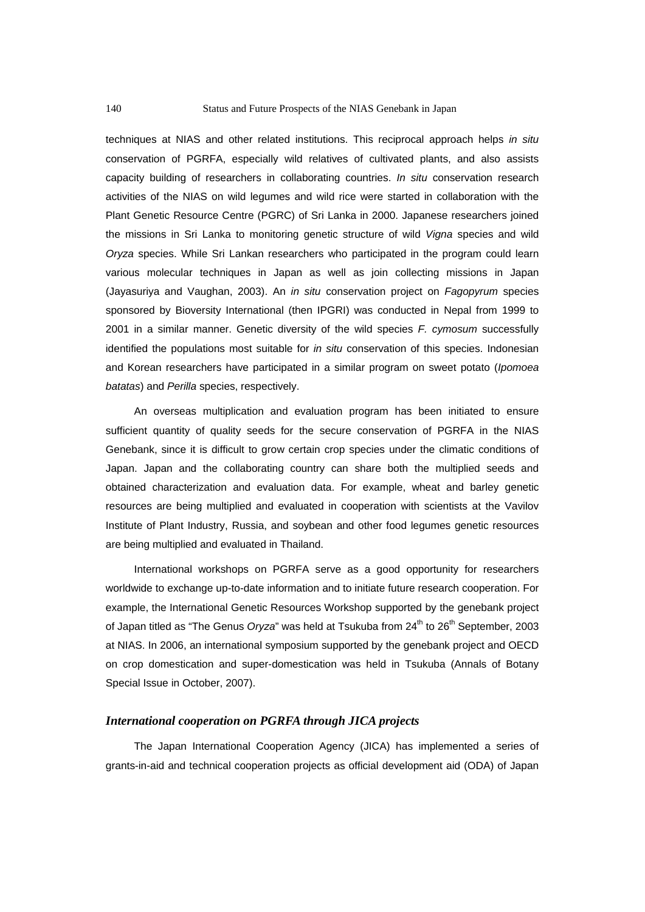techniques at NIAS and other related institutions. This reciprocal approach helps *in situ*  conservation of PGRFA, especially wild relatives of cultivated plants, and also assists capacity building of researchers in collaborating countries. *In situ* conservation research activities of the NIAS on wild legumes and wild rice were started in collaboration with the Plant Genetic Resource Centre (PGRC) of Sri Lanka in 2000. Japanese researchers joined the missions in Sri Lanka to monitoring genetic structure of wild *Vigna* species and wild *Oryza* species. While Sri Lankan researchers who participated in the program could learn various molecular techniques in Japan as well as join collecting missions in Japan (Jayasuriya and Vaughan, 2003). An *in situ* conservation project on *Fagopyrum* species sponsored by Bioversity International (then IPGRI) was conducted in Nepal from 1999 to 2001 in a similar manner. Genetic diversity of the wild species *F. cymosum* successfully identified the populations most suitable for *in situ* conservation of this species. Indonesian and Korean researchers have participated in a similar program on sweet potato (*Ipomoea batatas*) and *Perilla* species, respectively.

An overseas multiplication and evaluation program has been initiated to ensure sufficient quantity of quality seeds for the secure conservation of PGRFA in the NIAS Genebank, since it is difficult to grow certain crop species under the climatic conditions of Japan. Japan and the collaborating country can share both the multiplied seeds and obtained characterization and evaluation data. For example, wheat and barley genetic resources are being multiplied and evaluated in cooperation with scientists at the Vavilov Institute of Plant Industry, Russia, and soybean and other food legumes genetic resources are being multiplied and evaluated in Thailand.

International workshops on PGRFA serve as a good opportunity for researchers worldwide to exchange up-to-date information and to initiate future research cooperation. For example, the International Genetic Resources Workshop supported by the genebank project of Japan titled as "The Genus *Oryza*" was held at Tsukuba from 24<sup>th</sup> to 26<sup>th</sup> September, 2003 at NIAS. In 2006, an international symposium supported by the genebank project and OECD on crop domestication and super-domestication was held in Tsukuba (Annals of Botany Special Issue in October, 2007).

### *International cooperation on PGRFA through JICA projects*

The Japan International Cooperation Agency (JICA) has implemented a series of grants-in-aid and technical cooperation projects as official development aid (ODA) of Japan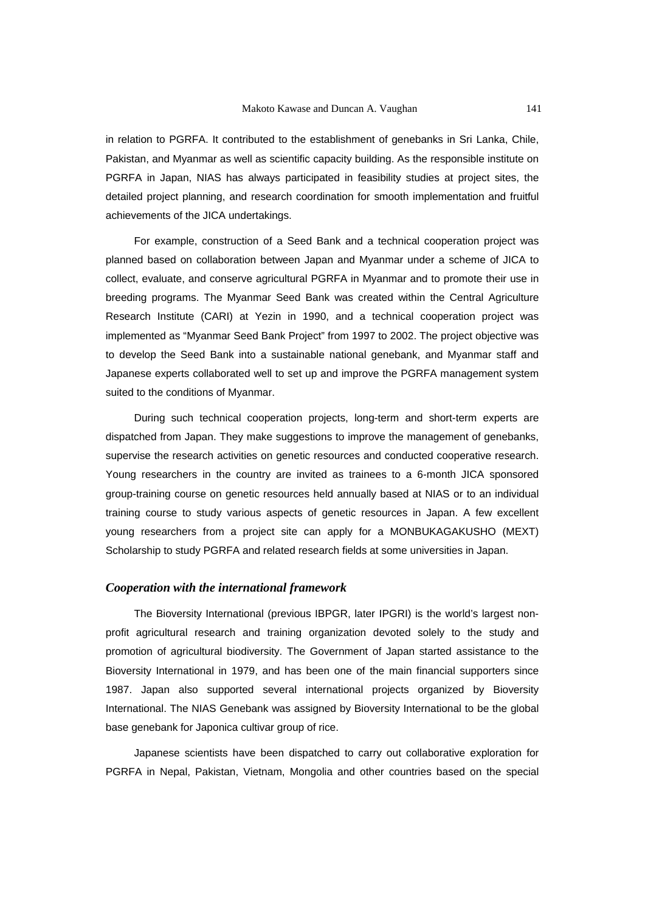in relation to PGRFA. It contributed to the establishment of genebanks in Sri Lanka, Chile, Pakistan, and Myanmar as well as scientific capacity building. As the responsible institute on PGRFA in Japan, NIAS has always participated in feasibility studies at project sites, the detailed project planning, and research coordination for smooth implementation and fruitful achievements of the JICA undertakings.

For example, construction of a Seed Bank and a technical cooperation project was planned based on collaboration between Japan and Myanmar under a scheme of JICA to collect, evaluate, and conserve agricultural PGRFA in Myanmar and to promote their use in breeding programs. The Myanmar Seed Bank was created within the Central Agriculture Research Institute (CARI) at Yezin in 1990, and a technical cooperation project was implemented as "Myanmar Seed Bank Project" from 1997 to 2002. The project objective was to develop the Seed Bank into a sustainable national genebank, and Myanmar staff and Japanese experts collaborated well to set up and improve the PGRFA management system suited to the conditions of Myanmar.

During such technical cooperation projects, long-term and short-term experts are dispatched from Japan. They make suggestions to improve the management of genebanks, supervise the research activities on genetic resources and conducted cooperative research. Young researchers in the country are invited as trainees to a 6-month JICA sponsored group-training course on genetic resources held annually based at NIAS or to an individual training course to study various aspects of genetic resources in Japan. A few excellent young researchers from a project site can apply for a MONBUKAGAKUSHO (MEXT) Scholarship to study PGRFA and related research fields at some universities in Japan.

### *Cooperation with the international framework*

The Bioversity International (previous IBPGR, later IPGRI) is the world's largest nonprofit agricultural research and training organization devoted solely to the study and promotion of agricultural biodiversity. The Government of Japan started assistance to the Bioversity International in 1979, and has been one of the main financial supporters since 1987. Japan also supported several international projects organized by Bioversity International. The NIAS Genebank was assigned by Bioversity International to be the global base genebank for Japonica cultivar group of rice.

Japanese scientists have been dispatched to carry out collaborative exploration for PGRFA in Nepal, Pakistan, Vietnam, Mongolia and other countries based on the special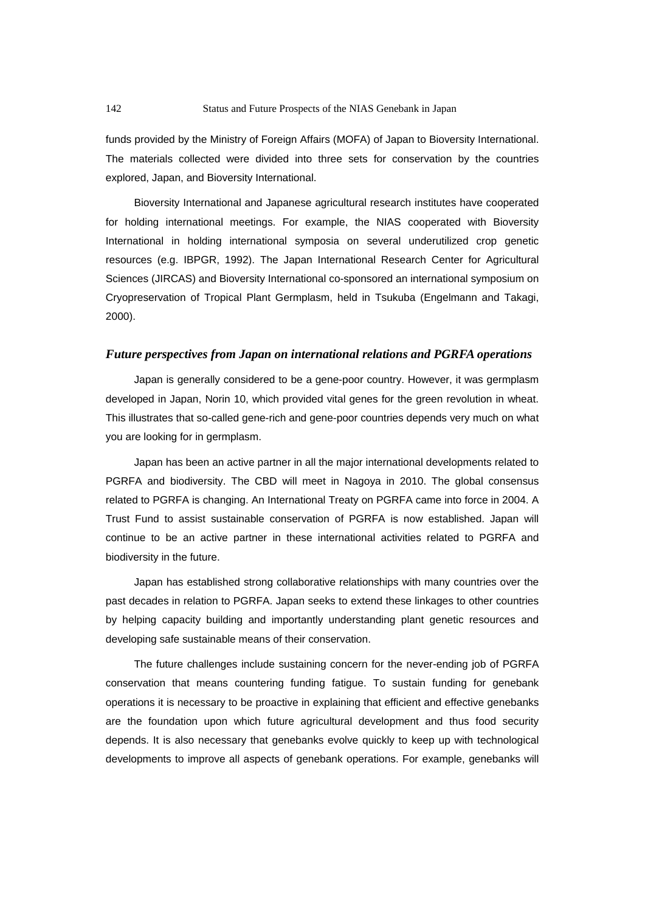funds provided by the Ministry of Foreign Affairs (MOFA) of Japan to Bioversity International. The materials collected were divided into three sets for conservation by the countries explored, Japan, and Bioversity International.

Bioversity International and Japanese agricultural research institutes have cooperated for holding international meetings. For example, the NIAS cooperated with Bioversity International in holding international symposia on several underutilized crop genetic resources (e.g. IBPGR, 1992). The Japan International Research Center for Agricultural Sciences (JIRCAS) and Bioversity International co-sponsored an international symposium on Cryopreservation of Tropical Plant Germplasm, held in Tsukuba (Engelmann and Takagi, 2000).

### *Future perspectives from Japan on international relations and PGRFA operations*

Japan is generally considered to be a gene-poor country. However, it was germplasm developed in Japan, Norin 10, which provided vital genes for the green revolution in wheat. This illustrates that so-called gene-rich and gene-poor countries depends very much on what you are looking for in germplasm.

Japan has been an active partner in all the major international developments related to PGRFA and biodiversity. The CBD will meet in Nagoya in 2010. The global consensus related to PGRFA is changing. An International Treaty on PGRFA came into force in 2004. A Trust Fund to assist sustainable conservation of PGRFA is now established. Japan will continue to be an active partner in these international activities related to PGRFA and biodiversity in the future.

Japan has established strong collaborative relationships with many countries over the past decades in relation to PGRFA. Japan seeks to extend these linkages to other countries by helping capacity building and importantly understanding plant genetic resources and developing safe sustainable means of their conservation.

The future challenges include sustaining concern for the never-ending job of PGRFA conservation that means countering funding fatigue. To sustain funding for genebank operations it is necessary to be proactive in explaining that efficient and effective genebanks are the foundation upon which future agricultural development and thus food security depends. It is also necessary that genebanks evolve quickly to keep up with technological developments to improve all aspects of genebank operations. For example, genebanks will